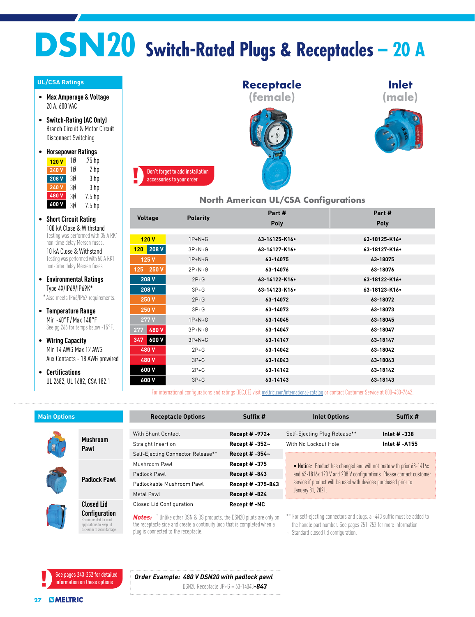## **DSN20 Switch-Rated Plugs & Receptacles – 20 A**

## **UL/CSA Ratings**

- **Max Amperage & Voltage** 20 A, 600 VAC
- **Switch-Rating (AC Only)** Branch Circuit & Motor Circuit Disconnect Switching
- **Horsepower Ratings** 1Ø .75 hp **120 V**

| IZU V | ιv | . / J IIµ         |
|-------|----|-------------------|
| 240 V | 10 | 2 hp              |
| 208 V | 30 | 3 hp              |
| 240 V | 30 | 3 hp              |
| 480V  | 3Ø | 7.5 <sub>hp</sub> |
| 600 V | 3Ø | 7.5 <sub>hp</sub> |

• **Short Circuit Rating** 100 kA Close & Withstand Testing was performed with 35 A RK1 non-time delay Mersen fuses.

10 kA Close & Withstand Testing was performed with 50 A RK1 non-time delay Mersen fuses.

• **Environmental Ratings** Type 4X/IP69/IP69K\*

\*Also meets IP66/IP67 requirements.

- **Temperature Range** Min -40°F / Max 140°F See pg 266 for temps below -15°F.
- **Wiring Capacity** Min 14 AWG Max 12 AWG Aux Contacts - 18 AWG prewired
- **Certifications** UL 2682, UL 1682, CSA 182.1







## **North American UL/CSA Configurations**

|                     |                 | Part#         | Part#              |  |
|---------------------|-----------------|---------------|--------------------|--|
| Voltage             | <b>Polarity</b> | Poly          | Poly               |  |
|                     |                 |               |                    |  |
| 120V                | $1P+N+G$        | 63-14125-K16. | 63-18125-K16.      |  |
| $120$ 208 V         | $3P+N+G$        | 63-14127-K16. | 63-18127-K16.      |  |
| 125 V               | $1P+N+G$        | 63-14075      | 63-18075           |  |
| 125 250 V           | $2P + N + G$    | 63-14076      | 63-18076           |  |
| 208 V               | $2P+G$          | 63-14122-K16. | 63-18122-K16.      |  |
| 208 V               | $3P+G$          | 63-14123-K16. | $63 - 18123 - K16$ |  |
| 250 V               | $2P+G$          | 63-14072      | 63-18072           |  |
| 250 V               | $3P+G$          | 63-14073      | 63-18073           |  |
| 277V                | $1P+N+G$        | 63-14045      | 63-18045           |  |
| 480 V<br>277        | $3P+N+G$        | 63-14047      | 63-18047           |  |
| <b>600 V</b><br>347 | $3P+N+G$        | 63-14147      | 63-18147           |  |
| 480 V               | $2P+G$          | 63-14042      | 63-18042           |  |
| 480 V               | $3P+G$          | 63-14043      | 63-18043           |  |
| 600 V               | $2P+G$          | 63-14142      | 63-18142           |  |
| 600 V               | $3P+G$          | 63-14143      | 63-18143           |  |
|                     |                 |               |                    |  |

For international configurations and ratings (IEC,CE) visit [meltric.com/international-catalog](http://meltric.com/international-catalog/index.html) or contact Customer Service at 800-433-7642.

| <b>Main Options</b> |                                                                                                        | <b>Receptacle Options</b>                                                                                                                                                                                   | Suffix #            | <b>Inlet Options</b>                                                                                                                                                                                     | Suffix #       |
|---------------------|--------------------------------------------------------------------------------------------------------|-------------------------------------------------------------------------------------------------------------------------------------------------------------------------------------------------------------|---------------------|----------------------------------------------------------------------------------------------------------------------------------------------------------------------------------------------------------|----------------|
|                     |                                                                                                        |                                                                                                                                                                                                             |                     |                                                                                                                                                                                                          |                |
|                     | <b>Mushroom</b><br>Pawl                                                                                | <b>With Shunt Contact</b>                                                                                                                                                                                   | Recept # -972+      | Self-Ejecting Plug Release**                                                                                                                                                                             | Inlet $# -338$ |
|                     |                                                                                                        | Straight Insertion                                                                                                                                                                                          | Recept # -352~      | With No Lockout Hole                                                                                                                                                                                     | Inlet # -A155  |
|                     |                                                                                                        | Self-Ejecting Connector Release**                                                                                                                                                                           | Recept # -354~      |                                                                                                                                                                                                          |                |
|                     | <b>Padlock Pawl</b>                                                                                    | Mushroom Pawl                                                                                                                                                                                               | <b>Recept #-375</b> | • Notice: Product has changed and will not mate with prior 63-1416x                                                                                                                                      |                |
|                     |                                                                                                        | Padlock Pawl                                                                                                                                                                                                | <b>Recept #-843</b> | and 63-1816x 120 V and 208 V configurations. Please contact customer<br>service if product will be used with devices purchased prior to                                                                  |                |
|                     |                                                                                                        | Padlockable Mushroom Pawl                                                                                                                                                                                   | Recept # -375-843   |                                                                                                                                                                                                          |                |
|                     |                                                                                                        | Metal Pawl                                                                                                                                                                                                  | <b>Recept #-824</b> | January 31, 2021.                                                                                                                                                                                        |                |
|                     | <b>Closed Lid</b>                                                                                      | <b>Closed Lid Configuration</b>                                                                                                                                                                             | Recept #-NC         |                                                                                                                                                                                                          |                |
|                     | <b>Configuration</b><br>Recommended for cord<br>applications to keep lid<br>tucked in to avoid damage. | <b>Notes:</b> <sup>+</sup> Unlike other DSN & DS products, the DSN20 pilots are only on<br>the receptacle side and create a continuity loop that is completed when a<br>plug is connected to the receptacle |                     | ** For self-ejecting connectors and plugs, a -443 suffix must be added to<br>the handle part number. See pages 251-252 for more information.<br>On a contract of the contribution of the contract of the |                |

~ Standard closed lid configuration.

See pages 243-252 for detailed information on these options

*Order Example: 480 V DSN20 with padlock pawl* DSN20 Receptacle 3P+G = 63-14043*-843*

plug is connected to the receptacle.